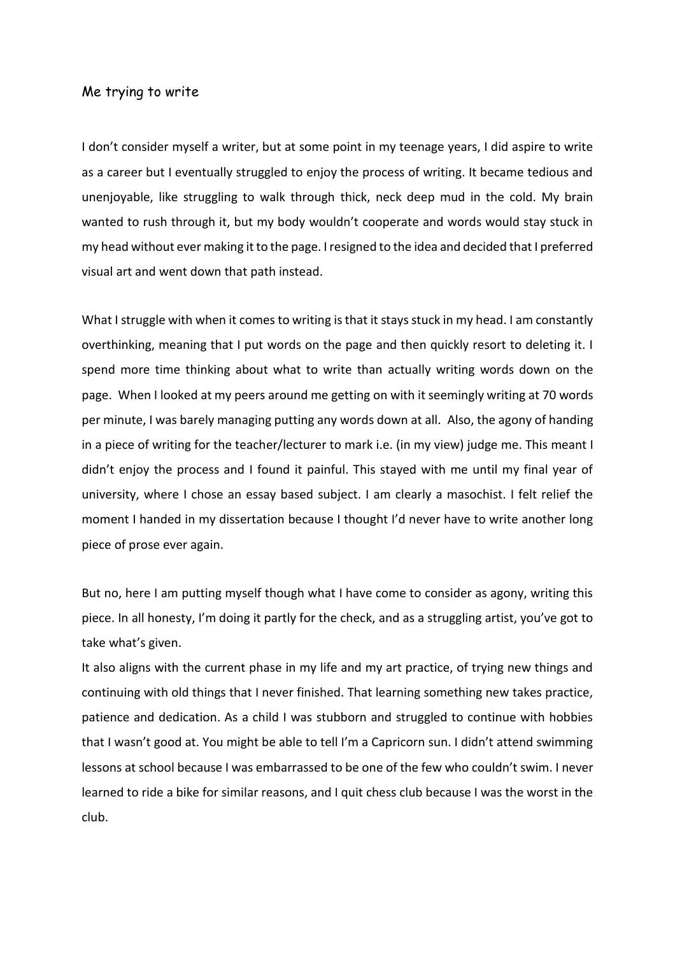## Me trying to write

I don't consider myself a writer, but at some point in my teenage years, I did aspire to write as a career but I eventually struggled to enjoy the process of writing. It became tedious and unenjoyable, like struggling to walk through thick, neck deep mud in the cold. My brain wanted to rush through it, but my body wouldn't cooperate and words would stay stuck in my head without ever making it to the page. I resigned to the idea and decided that I preferred visual art and went down that path instead.

What I struggle with when it comes to writing is that it stays stuck in my head. I am constantly overthinking, meaning that I put words on the page and then quickly resort to deleting it. I spend more time thinking about what to write than actually writing words down on the page. When I looked at my peers around me getting on with it seemingly writing at 70 words per minute, I was barely managing putting any words down at all. Also, the agony of handing in a piece of writing for the teacher/lecturer to mark i.e. (in my view) judge me. This meant I didn't enjoy the process and I found it painful. This stayed with me until my final year of university, where I chose an essay based subject. I am clearly a masochist. I felt relief the moment I handed in my dissertation because I thought I'd never have to write another long piece of prose ever again.

But no, here I am putting myself though what I have come to consider as agony, writing this piece. In all honesty, I'm doing it partly for the check, and as a struggling artist, you've got to take what's given.

It also aligns with the current phase in my life and my art practice, of trying new things and continuing with old things that I never finished. That learning something new takes practice, patience and dedication. As a child I was stubborn and struggled to continue with hobbies that I wasn't good at. You might be able to tell I'm a Capricorn sun. I didn't attend swimming lessons at school because I was embarrassed to be one of the few who couldn't swim. I never learned to ride a bike for similar reasons, and I quit chess club because I was the worst in the club.